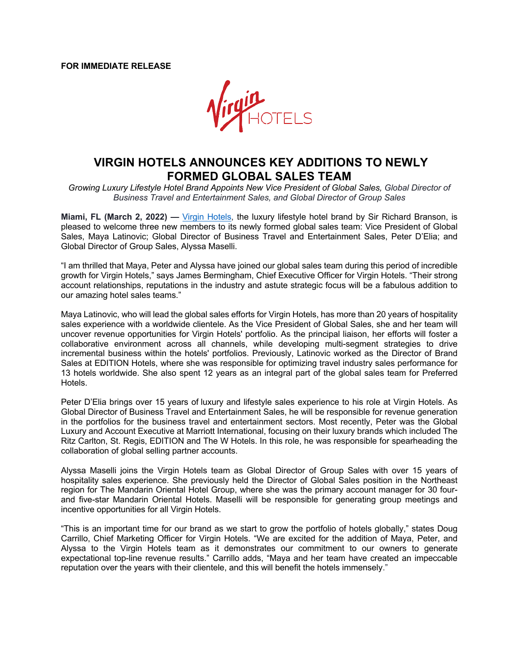

## **VIRGIN HOTELS ANNOUNCES KEY ADDITIONS TO NEWLY FORMED GLOBAL SALES TEAM**

*Growing Luxury Lifestyle Hotel Brand Appoints New Vice President of Global Sales, Global Director of Business Travel and Entertainment Sales, and Global Director of Group Sales*

**Miami, FL (March 2, 2022) —** Virgin Hotels, the luxury lifestyle hotel brand by Sir Richard Branson, is pleased to welcome three new members to its newly formed global sales team: Vice President of Global Sales, Maya Latinovic; Global Director of Business Travel and Entertainment Sales, Peter D'Elia; and Global Director of Group Sales, Alyssa Maselli.

"I am thrilled that Maya, Peter and Alyssa have joined our global sales team during this period of incredible growth for Virgin Hotels," says James Bermingham, Chief Executive Officer for Virgin Hotels. "Their strong account relationships, reputations in the industry and astute strategic focus will be a fabulous addition to our amazing hotel sales teams."

Maya Latinovic, who will lead the global sales efforts for Virgin Hotels, has more than 20 years of hospitality sales experience with a worldwide clientele. As the Vice President of Global Sales, she and her team will uncover revenue opportunities for Virgin Hotels' portfolio. As the principal liaison, her efforts will foster a collaborative environment across all channels, while developing multi-segment strategies to drive incremental business within the hotels' portfolios. Previously, Latinovic worked as the Director of Brand Sales at EDITION Hotels, where she was responsible for optimizing travel industry sales performance for 13 hotels worldwide. She also spent 12 years as an integral part of the global sales team for Preferred Hotels.

Peter D'Elia brings over 15 years of luxury and lifestyle sales experience to his role at Virgin Hotels. As Global Director of Business Travel and Entertainment Sales, he will be responsible for revenue generation in the portfolios for the business travel and entertainment sectors. Most recently, Peter was the Global Luxury and Account Executive at Marriott International, focusing on their luxury brands which included The Ritz Carlton, St. Regis, EDITION and The W Hotels. In this role, he was responsible for spearheading the collaboration of global selling partner accounts.

Alyssa Maselli joins the Virgin Hotels team as Global Director of Group Sales with over 15 years of hospitality sales experience. She previously held the Director of Global Sales position in the Northeast region for The Mandarin Oriental Hotel Group, where she was the primary account manager for 30 fourand five-star Mandarin Oriental Hotels. Maselli will be responsible for generating group meetings and incentive opportunities for all Virgin Hotels.

"This is an important time for our brand as we start to grow the portfolio of hotels globally," states Doug Carrillo, Chief Marketing Officer for Virgin Hotels. "We are excited for the addition of Maya, Peter, and Alyssa to the Virgin Hotels team as it demonstrates our commitment to our owners to generate expectational top-line revenue results." Carrillo adds, "Maya and her team have created an impeccable reputation over the years with their clientele, and this will benefit the hotels immensely."